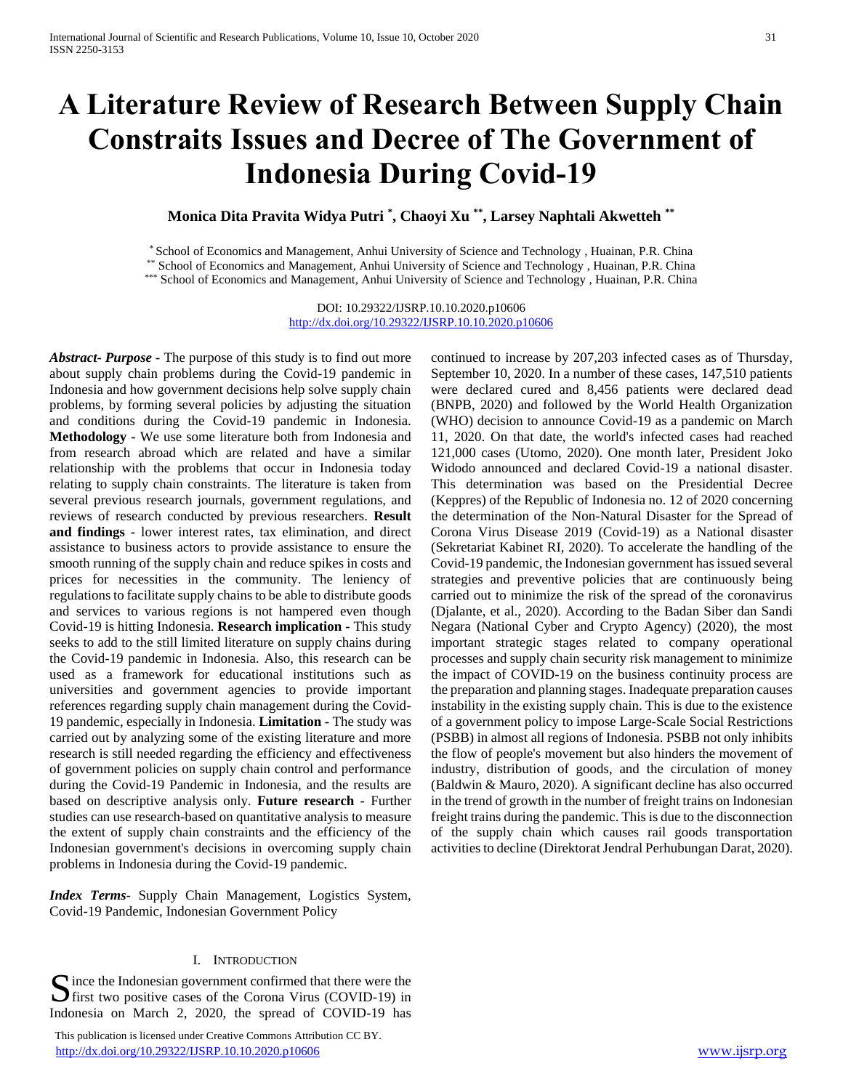# **A Literature Review of Research Between Supply Chain Constraits Issues and Decree of The Government of Indonesia During Covid-19**

**Monica Dita Pravita Widya Putri \* , Chaoyi Xu \*\* , Larsey Naphtali Akwetteh \*\***

\* School of Economics and Management, Anhui University of Science and Technology , Huainan, P.R. China \*\* School of Economics and Management, Anhui University of Science and Technology , Huainan, P.R. China

\*\*\* School of Economics and Management, Anhui University of Science and Technology , Huainan, P.R. China

DOI: 10.29322/IJSRP.10.10.2020.p10606 <http://dx.doi.org/10.29322/IJSRP.10.10.2020.p10606>

*Abstract***-** *Purpose -* The purpose of this study is to find out more about supply chain problems during the Covid-19 pandemic in Indonesia and how government decisions help solve supply chain problems, by forming several policies by adjusting the situation and conditions during the Covid-19 pandemic in Indonesia. **Methodology -** We use some literature both from Indonesia and from research abroad which are related and have a similar relationship with the problems that occur in Indonesia today relating to supply chain constraints. The literature is taken from several previous research journals, government regulations, and reviews of research conducted by previous researchers. **Result and findings -** lower interest rates, tax elimination, and direct assistance to business actors to provide assistance to ensure the smooth running of the supply chain and reduce spikes in costs and prices for necessities in the community. The leniency of regulations to facilitate supply chains to be able to distribute goods and services to various regions is not hampered even though Covid-19 is hitting Indonesia. **Research implication -** This study seeks to add to the still limited literature on supply chains during the Covid-19 pandemic in Indonesia. Also, this research can be used as a framework for educational institutions such as universities and government agencies to provide important references regarding supply chain management during the Covid-19 pandemic, especially in Indonesia. **Limitation -** The study was carried out by analyzing some of the existing literature and more research is still needed regarding the efficiency and effectiveness of government policies on supply chain control and performance during the Covid-19 Pandemic in Indonesia, and the results are based on descriptive analysis only. **Future research -** Further studies can use research-based on quantitative analysis to measure the extent of supply chain constraints and the efficiency of the Indonesian government's decisions in overcoming supply chain problems in Indonesia during the Covid-19 pandemic.

*Index Terms*- Supply Chain Management, Logistics System, Covid-19 Pandemic, Indonesian Government Policy

# I. INTRODUCTION

ince the Indonesian government confirmed that there were the Since the Indonesian government confirmed that there were the<br>
first two positive cases of the Corona Virus (COVID-19) in Indonesia on March 2, 2020, the spread of COVID-19 has

 This publication is licensed under Creative Commons Attribution CC BY. <http://dx.doi.org/10.29322/IJSRP.10.10.2020.p10606> [www.ijsrp.org](http://ijsrp.org/)

continued to increase by 207,203 infected cases as of Thursday, September 10, 2020. In a number of these cases, 147,510 patients were declared cured and 8,456 patients were declared dead (BNPB, 2020) and followed by the World Health Organization (WHO) decision to announce Covid-19 as a pandemic on March 11, 2020. On that date, the world's infected cases had reached 121,000 cases (Utomo, 2020). One month later, President Joko Widodo announced and declared Covid-19 a national disaster. This determination was based on the Presidential Decree (Keppres) of the Republic of Indonesia no. 12 of 2020 concerning the determination of the Non-Natural Disaster for the Spread of Corona Virus Disease 2019 (Covid-19) as a National disaster (Sekretariat Kabinet RI, 2020). To accelerate the handling of the Covid-19 pandemic, the Indonesian government has issued several strategies and preventive policies that are continuously being carried out to minimize the risk of the spread of the coronavirus (Djalante, et al., 2020). According to the Badan Siber dan Sandi Negara (National Cyber and Crypto Agency) (2020), the most important strategic stages related to company operational processes and supply chain security risk management to minimize the impact of COVID-19 on the business continuity process are the preparation and planning stages. Inadequate preparation causes instability in the existing supply chain. This is due to the existence of a government policy to impose Large-Scale Social Restrictions (PSBB) in almost all regions of Indonesia. PSBB not only inhibits the flow of people's movement but also hinders the movement of industry, distribution of goods, and the circulation of money (Baldwin & Mauro, 2020). A significant decline has also occurred in the trend of growth in the number of freight trains on Indonesian freight trains during the pandemic. This is due to the disconnection of the supply chain which causes rail goods transportation activities to decline (Direktorat Jendral Perhubungan Darat, 2020).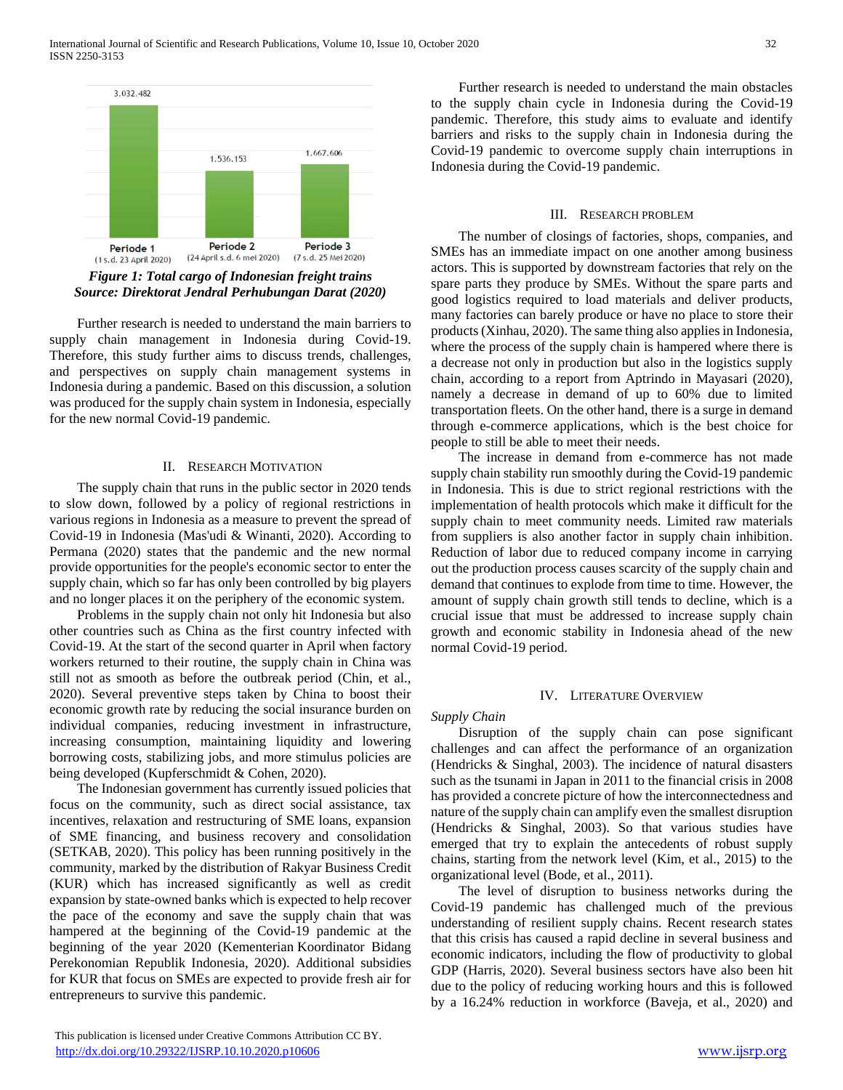

*Figure 1: Total cargo of Indonesian freight trains Source: Direktorat Jendral Perhubungan Darat (2020)*

 Further research is needed to understand the main barriers to supply chain management in Indonesia during Covid-19. Therefore, this study further aims to discuss trends, challenges, and perspectives on supply chain management systems in Indonesia during a pandemic. Based on this discussion, a solution was produced for the supply chain system in Indonesia, especially for the new normal Covid-19 pandemic.

## II. RESEARCH MOTIVATION

 The supply chain that runs in the public sector in 2020 tends to slow down, followed by a policy of regional restrictions in various regions in Indonesia as a measure to prevent the spread of Covid-19 in Indonesia (Mas'udi & Winanti, 2020). According to Permana (2020) states that the pandemic and the new normal provide opportunities for the people's economic sector to enter the supply chain, which so far has only been controlled by big players and no longer places it on the periphery of the economic system.

 Problems in the supply chain not only hit Indonesia but also other countries such as China as the first country infected with Covid-19. At the start of the second quarter in April when factory workers returned to their routine, the supply chain in China was still not as smooth as before the outbreak period (Chin, et al., 2020). Several preventive steps taken by China to boost their economic growth rate by reducing the social insurance burden on individual companies, reducing investment in infrastructure, increasing consumption, maintaining liquidity and lowering borrowing costs, stabilizing jobs, and more stimulus policies are being developed (Kupferschmidt & Cohen, 2020).

 The Indonesian government has currently issued policies that focus on the community, such as direct social assistance, tax incentives, relaxation and restructuring of SME loans, expansion of SME financing, and business recovery and consolidation (SETKAB, 2020). This policy has been running positively in the community, marked by the distribution of Rakyar Business Credit (KUR) which has increased significantly as well as credit expansion by state-owned banks which is expected to help recover the pace of the economy and save the supply chain that was hampered at the beginning of the Covid-19 pandemic at the beginning of the year 2020 (Kementerian Koordinator Bidang Perekonomian Republik Indonesia, 2020). Additional subsidies for KUR that focus on SMEs are expected to provide fresh air for entrepreneurs to survive this pandemic.

 Further research is needed to understand the main obstacles to the supply chain cycle in Indonesia during the Covid-19 pandemic. Therefore, this study aims to evaluate and identify barriers and risks to the supply chain in Indonesia during the Covid-19 pandemic to overcome supply chain interruptions in Indonesia during the Covid-19 pandemic.

#### III. RESEARCH PROBLEM

 The number of closings of factories, shops, companies, and SMEs has an immediate impact on one another among business actors. This is supported by downstream factories that rely on the spare parts they produce by SMEs. Without the spare parts and good logistics required to load materials and deliver products, many factories can barely produce or have no place to store their products (Xinhau, 2020). The same thing also applies in Indonesia, where the process of the supply chain is hampered where there is a decrease not only in production but also in the logistics supply chain, according to a report from Aptrindo in Mayasari (2020), namely a decrease in demand of up to 60% due to limited transportation fleets. On the other hand, there is a surge in demand through e-commerce applications, which is the best choice for people to still be able to meet their needs.

 The increase in demand from e-commerce has not made supply chain stability run smoothly during the Covid-19 pandemic in Indonesia. This is due to strict regional restrictions with the implementation of health protocols which make it difficult for the supply chain to meet community needs. Limited raw materials from suppliers is also another factor in supply chain inhibition. Reduction of labor due to reduced company income in carrying out the production process causes scarcity of the supply chain and demand that continues to explode from time to time. However, the amount of supply chain growth still tends to decline, which is a crucial issue that must be addressed to increase supply chain growth and economic stability in Indonesia ahead of the new normal Covid-19 period.

#### IV. LITERATURE OVERVIEW

### *Supply Chain*

 Disruption of the supply chain can pose significant challenges and can affect the performance of an organization (Hendricks & Singhal, 2003). The incidence of natural disasters such as the tsunami in Japan in 2011 to the financial crisis in 2008 has provided a concrete picture of how the interconnectedness and nature of the supply chain can amplify even the smallest disruption (Hendricks & Singhal, 2003). So that various studies have emerged that try to explain the antecedents of robust supply chains, starting from the network level (Kim, et al., 2015) to the organizational level (Bode, et al., 2011).

 The level of disruption to business networks during the Covid-19 pandemic has challenged much of the previous understanding of resilient supply chains. Recent research states that this crisis has caused a rapid decline in several business and economic indicators, including the flow of productivity to global GDP (Harris, 2020). Several business sectors have also been hit due to the policy of reducing working hours and this is followed by a 16.24% reduction in workforce (Baveja, et al., 2020) and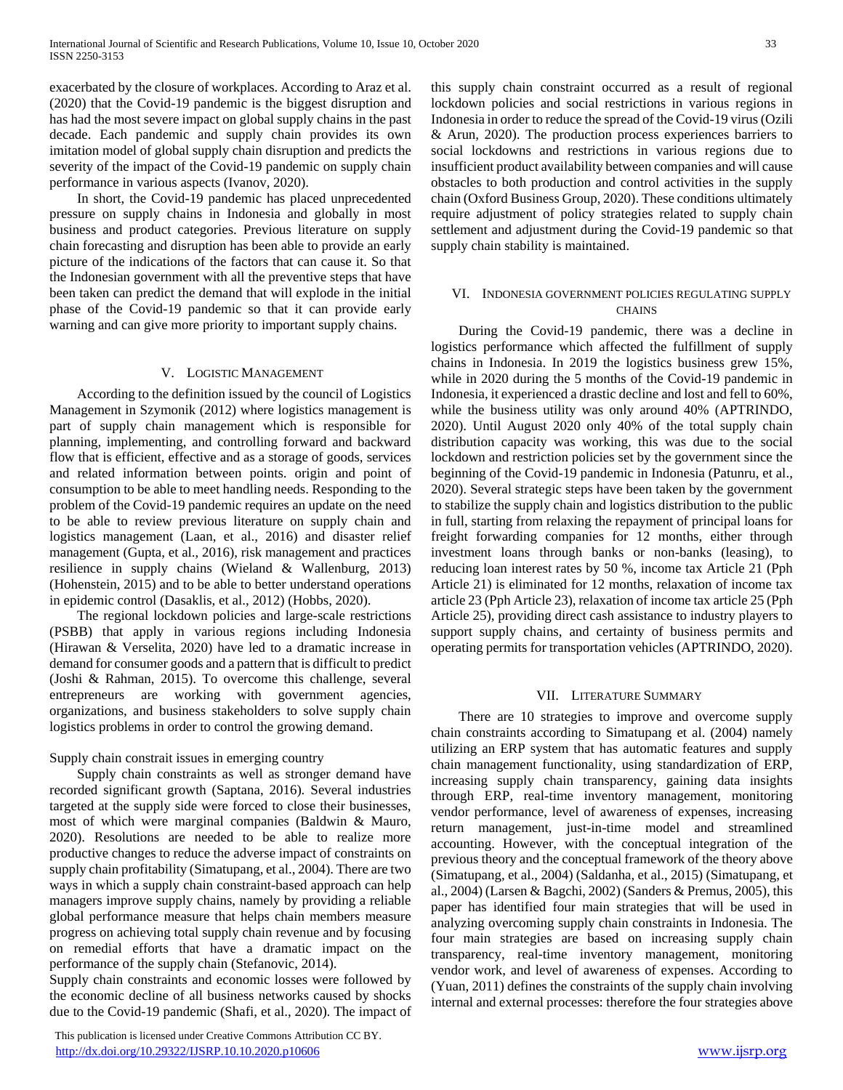exacerbated by the closure of workplaces. According to Araz et al. (2020) that the Covid-19 pandemic is the biggest disruption and has had the most severe impact on global supply chains in the past decade. Each pandemic and supply chain provides its own imitation model of global supply chain disruption and predicts the severity of the impact of the Covid-19 pandemic on supply chain performance in various aspects (Ivanov, 2020).

 In short, the Covid-19 pandemic has placed unprecedented pressure on supply chains in Indonesia and globally in most business and product categories. Previous literature on supply chain forecasting and disruption has been able to provide an early picture of the indications of the factors that can cause it. So that the Indonesian government with all the preventive steps that have been taken can predict the demand that will explode in the initial phase of the Covid-19 pandemic so that it can provide early warning and can give more priority to important supply chains.

#### V. LOGISTIC MANAGEMENT

 According to the definition issued by the council of Logistics Management in Szymonik (2012) where logistics management is part of supply chain management which is responsible for planning, implementing, and controlling forward and backward flow that is efficient, effective and as a storage of goods, services and related information between points. origin and point of consumption to be able to meet handling needs. Responding to the problem of the Covid-19 pandemic requires an update on the need to be able to review previous literature on supply chain and logistics management (Laan, et al., 2016) and disaster relief management (Gupta, et al., 2016), risk management and practices resilience in supply chains (Wieland & Wallenburg, 2013) (Hohenstein, 2015) and to be able to better understand operations in epidemic control (Dasaklis, et al., 2012) (Hobbs, 2020).

 The regional lockdown policies and large-scale restrictions (PSBB) that apply in various regions including Indonesia (Hirawan & Verselita, 2020) have led to a dramatic increase in demand for consumer goods and a pattern that is difficult to predict (Joshi & Rahman, 2015). To overcome this challenge, several entrepreneurs are working with government agencies, organizations, and business stakeholders to solve supply chain logistics problems in order to control the growing demand.

#### Supply chain constrait issues in emerging country

 Supply chain constraints as well as stronger demand have recorded significant growth (Saptana, 2016). Several industries targeted at the supply side were forced to close their businesses, most of which were marginal companies (Baldwin & Mauro, 2020). Resolutions are needed to be able to realize more productive changes to reduce the adverse impact of constraints on supply chain profitability (Simatupang, et al., 2004). There are two ways in which a supply chain constraint-based approach can help managers improve supply chains, namely by providing a reliable global performance measure that helps chain members measure progress on achieving total supply chain revenue and by focusing on remedial efforts that have a dramatic impact on the performance of the supply chain (Stefanovic, 2014).

Supply chain constraints and economic losses were followed by the economic decline of all business networks caused by shocks due to the Covid-19 pandemic (Shafi, et al., 2020). The impact of

 This publication is licensed under Creative Commons Attribution CC BY. <http://dx.doi.org/10.29322/IJSRP.10.10.2020.p10606> [www.ijsrp.org](http://ijsrp.org/)

this supply chain constraint occurred as a result of regional lockdown policies and social restrictions in various regions in Indonesia in order to reduce the spread of the Covid-19 virus (Ozili & Arun, 2020). The production process experiences barriers to social lockdowns and restrictions in various regions due to insufficient product availability between companies and will cause obstacles to both production and control activities in the supply chain (Oxford Business Group, 2020). These conditions ultimately require adjustment of policy strategies related to supply chain settlement and adjustment during the Covid-19 pandemic so that supply chain stability is maintained.

# VI. INDONESIA GOVERNMENT POLICIES REGULATING SUPPLY **CHAINS**

 During the Covid-19 pandemic, there was a decline in logistics performance which affected the fulfillment of supply chains in Indonesia. In 2019 the logistics business grew 15%, while in 2020 during the 5 months of the Covid-19 pandemic in Indonesia, it experienced a drastic decline and lost and fell to 60%, while the business utility was only around 40% (APTRINDO, 2020). Until August 2020 only 40% of the total supply chain distribution capacity was working, this was due to the social lockdown and restriction policies set by the government since the beginning of the Covid-19 pandemic in Indonesia (Patunru, et al., 2020). Several strategic steps have been taken by the government to stabilize the supply chain and logistics distribution to the public in full, starting from relaxing the repayment of principal loans for freight forwarding companies for 12 months, either through investment loans through banks or non-banks (leasing), to reducing loan interest rates by 50 %, income tax Article 21 (Pph Article 21) is eliminated for 12 months, relaxation of income tax article 23 (Pph Article 23), relaxation of income tax article 25 (Pph Article 25), providing direct cash assistance to industry players to support supply chains, and certainty of business permits and operating permits for transportation vehicles (APTRINDO, 2020).

#### VII. LITERATURE SUMMARY

 There are 10 strategies to improve and overcome supply chain constraints according to Simatupang et al. (2004) namely utilizing an ERP system that has automatic features and supply chain management functionality, using standardization of ERP, increasing supply chain transparency, gaining data insights through ERP, real-time inventory management, monitoring vendor performance, level of awareness of expenses, increasing return management, just-in-time model and streamlined accounting. However, with the conceptual integration of the previous theory and the conceptual framework of the theory above (Simatupang, et al., 2004) (Saldanha, et al., 2015) (Simatupang, et al., 2004) (Larsen & Bagchi, 2002) (Sanders & Premus, 2005), this paper has identified four main strategies that will be used in analyzing overcoming supply chain constraints in Indonesia. The four main strategies are based on increasing supply chain transparency, real-time inventory management, monitoring vendor work, and level of awareness of expenses. According to (Yuan, 2011) defines the constraints of the supply chain involving internal and external processes: therefore the four strategies above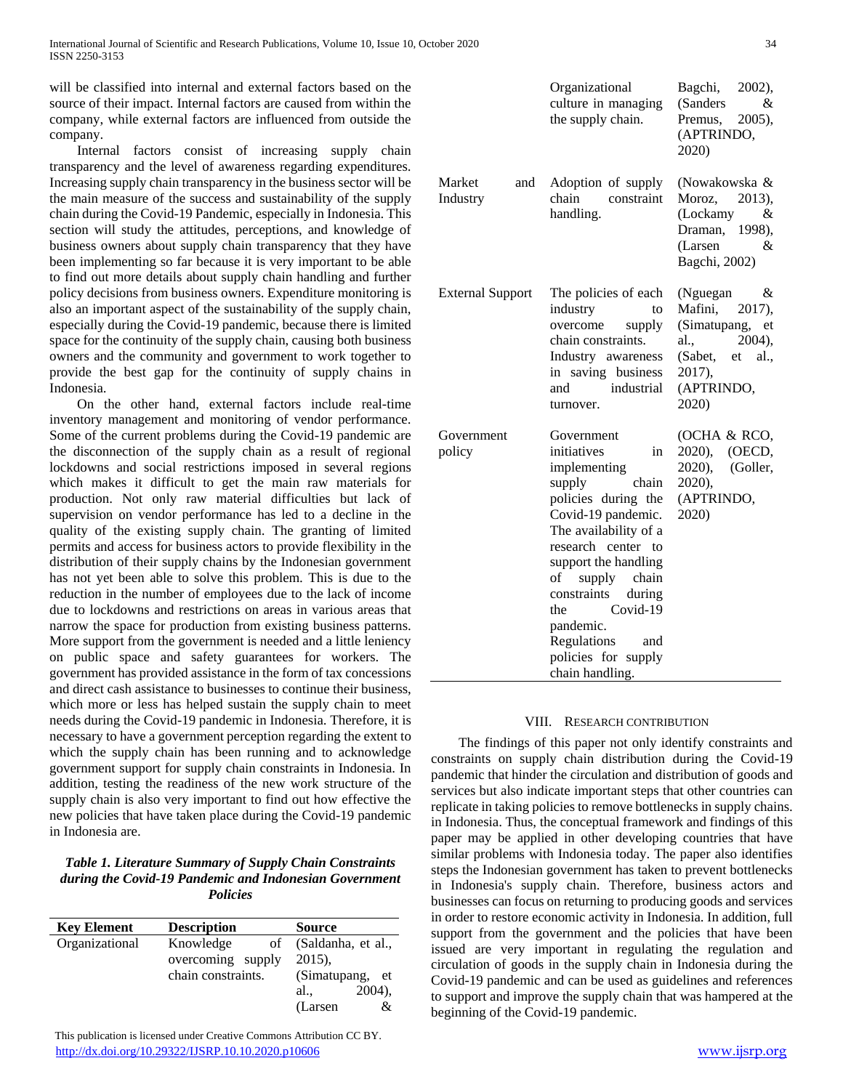will be classified into internal and external factors based on the source of their impact. Internal factors are caused from within the company, while external factors are influenced from outside the company.

 Internal factors consist of increasing supply chain transparency and the level of awareness regarding expenditures. Increasing supply chain transparency in the business sector will be the main measure of the success and sustainability of the supply chain during the Covid-19 Pandemic, especially in Indonesia. This section will study the attitudes, perceptions, and knowledge of business owners about supply chain transparency that they have been implementing so far because it is very important to be able to find out more details about supply chain handling and further policy decisions from business owners. Expenditure monitoring is also an important aspect of the sustainability of the supply chain, especially during the Covid-19 pandemic, because there is limited space for the continuity of the supply chain, causing both business owners and the community and government to work together to provide the best gap for the continuity of supply chains in Indonesia.

 On the other hand, external factors include real-time inventory management and monitoring of vendor performance. Some of the current problems during the Covid-19 pandemic are the disconnection of the supply chain as a result of regional lockdowns and social restrictions imposed in several regions which makes it difficult to get the main raw materials for production. Not only raw material difficulties but lack of supervision on vendor performance has led to a decline in the quality of the existing supply chain. The granting of limited permits and access for business actors to provide flexibility in the distribution of their supply chains by the Indonesian government has not yet been able to solve this problem. This is due to the reduction in the number of employees due to the lack of income due to lockdowns and restrictions on areas in various areas that narrow the space for production from existing business patterns. More support from the government is needed and a little leniency on public space and safety guarantees for workers. The government has provided assistance in the form of tax concessions and direct cash assistance to businesses to continue their business, which more or less has helped sustain the supply chain to meet needs during the Covid-19 pandemic in Indonesia. Therefore, it is necessary to have a government perception regarding the extent to which the supply chain has been running and to acknowledge government support for supply chain constraints in Indonesia. In addition, testing the readiness of the new work structure of the supply chain is also very important to find out how effective the new policies that have taken place during the Covid-19 pandemic in Indonesia are.

# *Table 1. Literature Summary of Supply Chain Constraints during the Covid-19 Pandemic and Indonesian Government Policies*

| <b>Key Element</b> | <b>Description</b> | <b>Source</b>      |
|--------------------|--------------------|--------------------|
| Organizational     | Knowledge<br>of    | (Saldanha, et al., |
|                    | overcoming supply  | $2015$ ).          |
|                    | chain constraints. | (Simatupang, et    |
|                    |                    | $2004$ ,<br>al.,   |
|                    |                    | &<br>(Larsen)      |

 This publication is licensed under Creative Commons Attribution CC BY. <http://dx.doi.org/10.29322/IJSRP.10.10.2020.p10606> [www.ijsrp.org](http://ijsrp.org/)

|                           | Organizational<br>culture in managing<br>the supply chain.                                                                                                                                                                                                                                                                               | Bagchi,<br>$2002$ ),<br>(Sanders<br>&<br>Premus,<br>$2005$ ),<br>(APTRINDO,<br>2020)                                                 |
|---------------------------|------------------------------------------------------------------------------------------------------------------------------------------------------------------------------------------------------------------------------------------------------------------------------------------------------------------------------------------|--------------------------------------------------------------------------------------------------------------------------------------|
| Market<br>and<br>Industry | Adoption of supply<br>chain<br>constraint<br>handling.                                                                                                                                                                                                                                                                                   | (Nowakowska &<br>Moroz,<br>2013),<br>(Lockamy<br>&<br>Draman,<br>1998).<br>(Larsen<br>&<br>Bagchi, 2002)                             |
| <b>External Support</b>   | The policies of each<br>industry<br>to<br>overcome<br>supply<br>chain constraints.<br>Industry awareness<br>in saving business<br>industrial<br>and<br>turnover.                                                                                                                                                                         | (Nguegan<br>&<br>Mafini,<br>2017),<br>(Simatupang,<br>et<br>al.,<br>2004),<br>(Sabet,<br>al.,<br>et<br>2017),<br>(APTRINDO,<br>2020) |
| Government<br>policy      | Government<br>initiatives<br>in<br>implementing<br>supply<br>chain<br>policies during the<br>Covid-19 pandemic.<br>The availability of a<br>research center to<br>support the handling<br>supply<br>of<br>chain<br>during<br>constraints<br>Covid-19<br>the<br>pandemic.<br>Regulations<br>and<br>policies for supply<br>chain handling. | (OCHA & RCO,<br>2020),<br>(OECD,<br>2020),<br>(Goller,<br>2020),<br>(APTRINDO,<br>2020)                                              |

#### VIII. RESEARCH CONTRIBUTION

 The findings of this paper not only identify constraints and constraints on supply chain distribution during the Covid-19 pandemic that hinder the circulation and distribution of goods and services but also indicate important steps that other countries can replicate in taking policies to remove bottlenecks in supply chains. in Indonesia. Thus, the conceptual framework and findings of this paper may be applied in other developing countries that have similar problems with Indonesia today. The paper also identifies steps the Indonesian government has taken to prevent bottlenecks in Indonesia's supply chain. Therefore, business actors and businesses can focus on returning to producing goods and services in order to restore economic activity in Indonesia. In addition, full support from the government and the policies that have been issued are very important in regulating the regulation and circulation of goods in the supply chain in Indonesia during the Covid-19 pandemic and can be used as guidelines and references to support and improve the supply chain that was hampered at the beginning of the Covid-19 pandemic.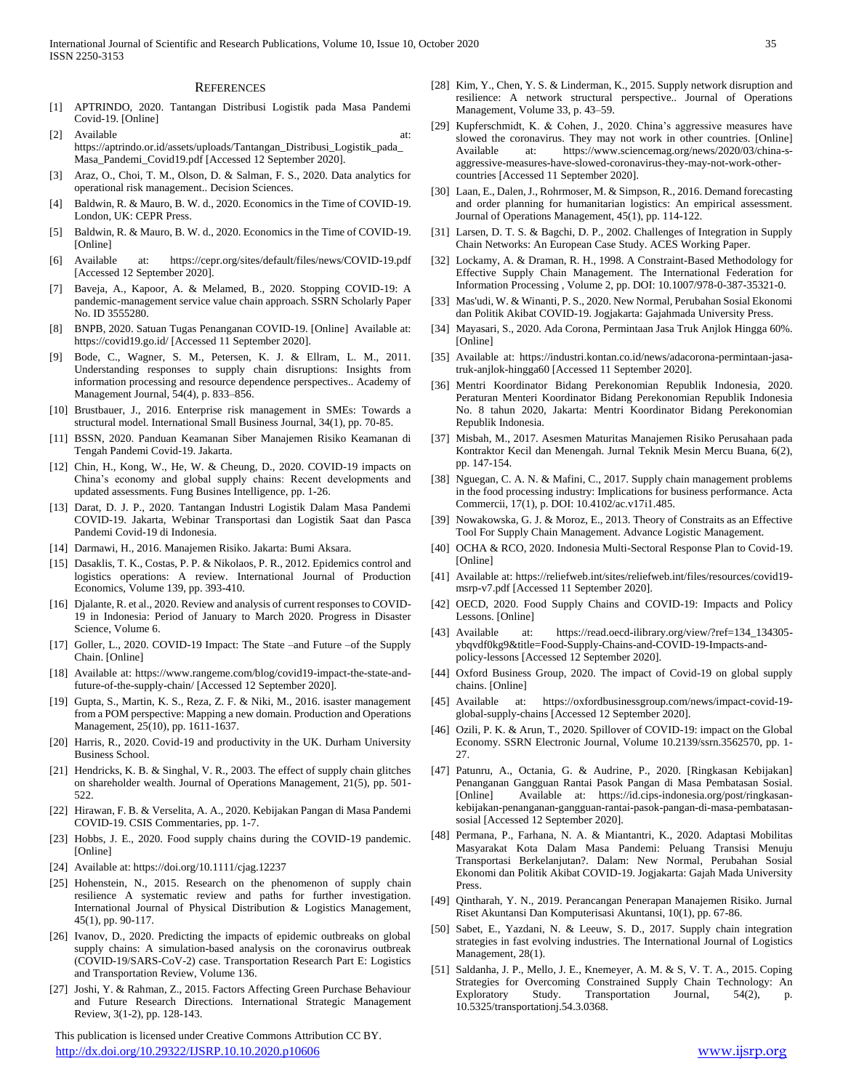#### **REFERENCES**

- [1] APTRINDO, 2020. Tantangan Distribusi Logistik pada Masa Pandemi Covid-19. [Online]
- [2] Available at: https://aptrindo.or.id/assets/uploads/Tantangan\_Distribusi\_Logistik\_pada\_ Masa\_Pandemi\_Covid19.pdf [Accessed 12 September 2020].
- [3] Araz, O., Choi, T. M., Olson, D. & Salman, F. S., 2020. Data analytics for operational risk management.. Decision Sciences.
- [4] Baldwin, R. & Mauro, B. W. d., 2020. Economics in the Time of COVID-19. London, UK: CEPR Press.
- [5] Baldwin, R. & Mauro, B. W. d., 2020. Economics in the Time of COVID-19. [Online]
- [6] Available at: https://cepr.org/sites/default/files/news/COVID-19.pdf [Accessed 12 September 2020].
- [7] Baveja, A., Kapoor, A. & Melamed, B., 2020. Stopping COVID-19: A pandemic-management service value chain approach. SSRN Scholarly Paper No. ID 3555280.
- [8] BNPB, 2020. Satuan Tugas Penanganan COVID-19. [Online] Available at: https://covid19.go.id/ [Accessed 11 September 2020].
- [9] Bode, C., Wagner, S. M., Petersen, K. J. & Ellram, L. M., 2011. Understanding responses to supply chain disruptions: Insights from information processing and resource dependence perspectives.. Academy of Management Journal, 54(4), p. 833–856.
- [10] Brustbauer, J., 2016. Enterprise risk management in SMEs: Towards a structural model. International Small Business Journal, 34(1), pp. 70-85.
- [11] BSSN, 2020. Panduan Keamanan Siber Manajemen Risiko Keamanan di Tengah Pandemi Covid-19. Jakarta.
- [12] Chin, H., Kong, W., He, W. & Cheung, D., 2020. COVID-19 impacts on China's economy and global supply chains: Recent developments and updated assessments. Fung Busines Intelligence, pp. 1-26.
- [13] Darat, D. J. P., 2020. Tantangan Industri Logistik Dalam Masa Pandemi COVID-19. Jakarta, Webinar Transportasi dan Logistik Saat dan Pasca Pandemi Covid-19 di Indonesia.
- [14] Darmawi, H., 2016. Manajemen Risiko. Jakarta: Bumi Aksara.
- [15] Dasaklis, T. K., Costas, P. P. & Nikolaos, P. R., 2012. Epidemics control and logistics operations: A review. International Journal of Production Economics, Volume 139, pp. 393-410.
- [16] Djalante, R. et al., 2020. Review and analysis of current responses to COVID-19 in Indonesia: Period of January to March 2020. Progress in Disaster Science, Volume 6.
- [17] Goller, L., 2020. COVID-19 Impact: The State –and Future –of the Supply Chain. [Online]
- [18] Available at: https://www.rangeme.com/blog/covid19-impact-the-state-andfuture-of-the-supply-chain/ [Accessed 12 September 2020].
- [19] Gupta, S., Martin, K. S., Reza, Z. F. & Niki, M., 2016. isaster management from a POM perspective: Mapping a new domain. Production and Operations Management, 25(10), pp. 1611-1637.
- [20] Harris, R., 2020. Covid-19 and productivity in the UK. Durham University Business School.
- [21] Hendricks, K. B. & Singhal, V. R., 2003. The effect of supply chain glitches on shareholder wealth. Journal of Operations Management, 21(5), pp. 501- 522.
- [22] Hirawan, F. B. & Verselita, A. A., 2020. Kebijakan Pangan di Masa Pandemi COVID-19. CSIS Commentaries, pp. 1-7.
- [23] Hobbs, J. E., 2020. Food supply chains during the COVID-19 pandemic. [Online]
- [24] Available at: https://doi.org/10.1111/cjag.12237
- [25] Hohenstein, N., 2015. Research on the phenomenon of supply chain resilience A systematic review and paths for further investigation. International Journal of Physical Distribution & Logistics Management, 45(1), pp. 90-117.
- [26] Ivanov, D., 2020. Predicting the impacts of epidemic outbreaks on global supply chains: A simulation-based analysis on the coronavirus outbreak (COVID-19/SARS-CoV-2) case. Transportation Research Part E: Logistics and Transportation Review, Volume 136.
- [27] Joshi, Y. & Rahman, Z., 2015. Factors Affecting Green Purchase Behaviour and Future Research Directions. International Strategic Management Review, 3(1-2), pp. 128-143.

 This publication is licensed under Creative Commons Attribution CC BY. <http://dx.doi.org/10.29322/IJSRP.10.10.2020.p10606> [www.ijsrp.org](http://ijsrp.org/)

- [28] Kim, Y., Chen, Y. S. & Linderman, K., 2015. Supply network disruption and resilience: A network structural perspective.. Journal of Operations Management, Volume 33, p. 43–59.
- [29] Kupferschmidt, K. & Cohen, J., 2020. China's aggressive measures have slowed the coronavirus. They may not work in other countries. [Online] Available at: https://www.sciencemag.org/news/2020/03/china-saggressive-measures-have-slowed-coronavirus-they-may-not-work-othercountries [Accessed 11 September 2020].
- [30] Laan, E., Dalen, J., Rohrmoser, M. & Simpson, R., 2016. Demand forecasting and order planning for humanitarian logistics: An empirical assessment. Journal of Operations Management, 45(1), pp. 114-122.
- [31] Larsen, D. T. S. & Bagchi, D. P., 2002. Challenges of Integration in Supply Chain Networks: An European Case Study. ACES Working Paper.
- [32] Lockamy, A. & Draman, R. H., 1998. A Constraint-Based Methodology for Effective Supply Chain Management. The International Federation for Information Processing , Volume 2, pp. DOI: 10.1007/978-0-387-35321-0.
- [33] Mas'udi, W. & Winanti, P. S., 2020. New Normal, Perubahan Sosial Ekonomi dan Politik Akibat COVID-19. Jogjakarta: Gajahmada University Press.
- [34] Mayasari, S., 2020. Ada Corona, Permintaan Jasa Truk Anjlok Hingga 60%. [Online]
- [35] Available at: https://industri.kontan.co.id/news/adacorona-permintaan-jasatruk-anjlok-hingga60 [Accessed 11 September 2020].
- [36] Mentri Koordinator Bidang Perekonomian Republik Indonesia, 2020. Peraturan Menteri Koordinator Bidang Perekonomian Republik Indonesia No. 8 tahun 2020, Jakarta: Mentri Koordinator Bidang Perekonomian Republik Indonesia.
- [37] Misbah, M., 2017. Asesmen Maturitas Manajemen Risiko Perusahaan pada Kontraktor Kecil dan Menengah. Jurnal Teknik Mesin Mercu Buana, 6(2), pp. 147-154.
- [38] Nguegan, C. A. N. & Mafini, C., 2017. Supply chain management problems in the food processing industry: Implications for business performance. Acta Commercii, 17(1), p. DOI: 10.4102/ac.v17i1.485.
- [39] Nowakowska, G. J. & Moroz, E., 2013. Theory of Constraits as an Effective Tool For Supply Chain Management. Advance Logistic Management.
- [40] OCHA & RCO, 2020. Indonesia Multi-Sectoral Response Plan to Covid-19. [Online]
- [41] Available at: https://reliefweb.int/sites/reliefweb.int/files/resources/covid19 msrp-v7.pdf [Accessed 11 September 2020].
- [42] OECD, 2020. Food Supply Chains and COVID-19: Impacts and Policy Lessons. [Online]
- [43] Available at: https://read.oecd-ilibrary.org/view/?ref=134 134305ybqvdf0kg9&title=Food-Supply-Chains-and-COVID-19-Impacts-andpolicy-lessons [Accessed 12 September 2020].
- [44] Oxford Business Group, 2020. The impact of Covid-19 on global supply chains. [Online]
- [45] Available at: https://oxfordbusinessgroup.com/news/impact-covid-19 global-supply-chains [Accessed 12 September 2020].
- [46] Ozili, P. K. & Arun, T., 2020. Spillover of COVID-19: impact on the Global Economy. SSRN Electronic Journal, Volume 10.2139/ssrn.3562570, pp. 1-  $27.$
- [47] Patunru, A., Octania, G. & Audrine, P., 2020. [Ringkasan Kebijakan] Penanganan Gangguan Rantai Pasok Pangan di Masa Pembatasan Sosial. [Online] Available at: https://id.cips-indonesia.org/post/ringkasankebijakan-penanganan-gangguan-rantai-pasok-pangan-di-masa-pembatasansosial [Accessed 12 September 2020].
- [48] Permana, P., Farhana, N. A. & Miantantri, K., 2020. Adaptasi Mobilitas Masyarakat Kota Dalam Masa Pandemi: Peluang Transisi Menuju Transportasi Berkelanjutan?. Dalam: New Normal, Perubahan Sosial Ekonomi dan Politik Akibat COVID-19. Jogjakarta: Gajah Mada University Press.
- [49] Qintharah, Y. N., 2019. Perancangan Penerapan Manajemen Risiko. Jurnal Riset Akuntansi Dan Komputerisasi Akuntansi, 10(1), pp. 67-86.
- [50] Sabet, E., Yazdani, N. & Leeuw, S. D., 2017. Supply chain integration strategies in fast evolving industries. The International Journal of Logistics Management, 28(1).
- [51] Saldanha, J. P., Mello, J. E., Knemeyer, A. M. & S, V. T. A., 2015. Coping Strategies for Overcoming Constrained Supply Chain Technology: An Exploratory Study. Transportation Journal, 54(2), p. 10.5325/transportationj.54.3.0368.